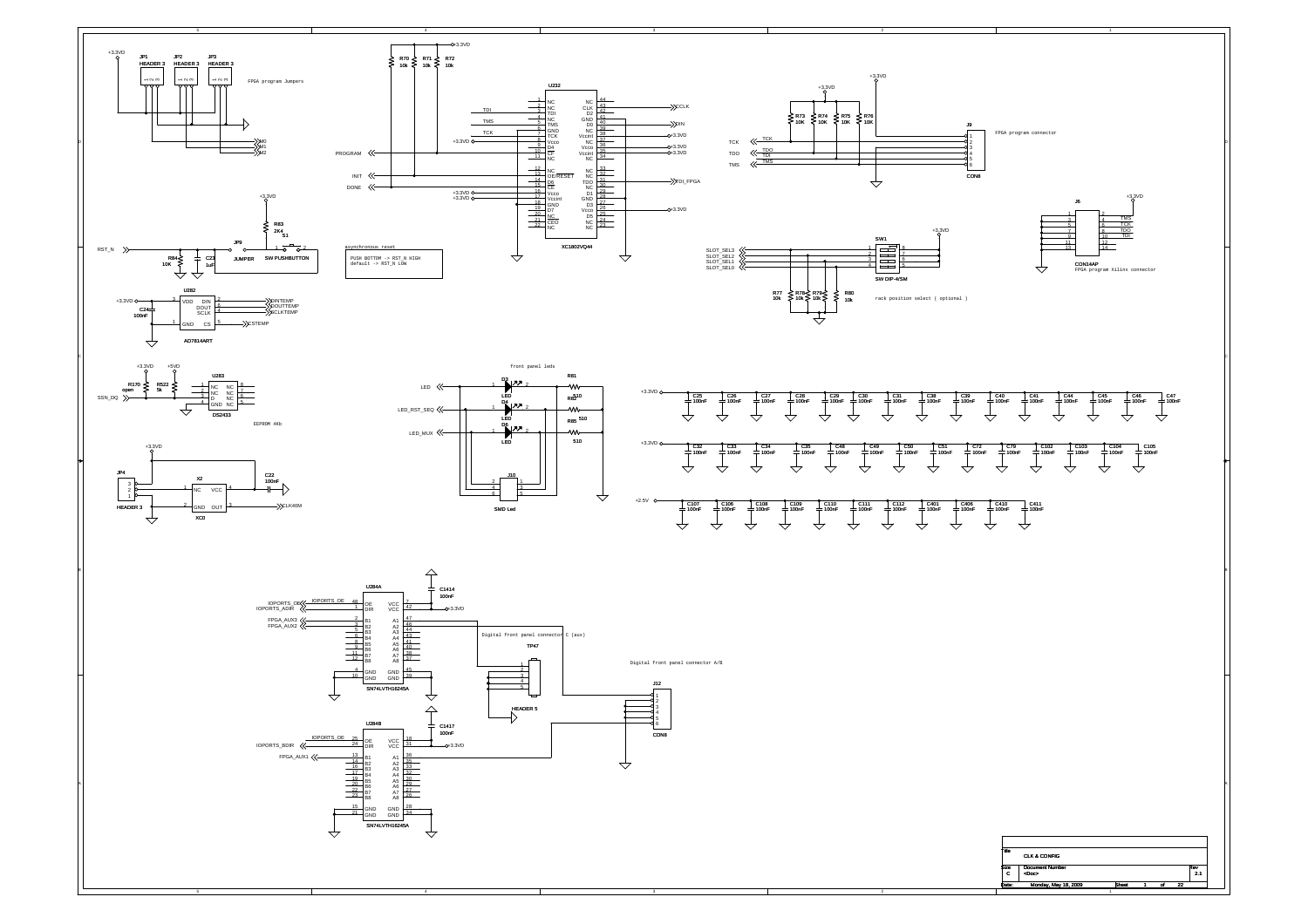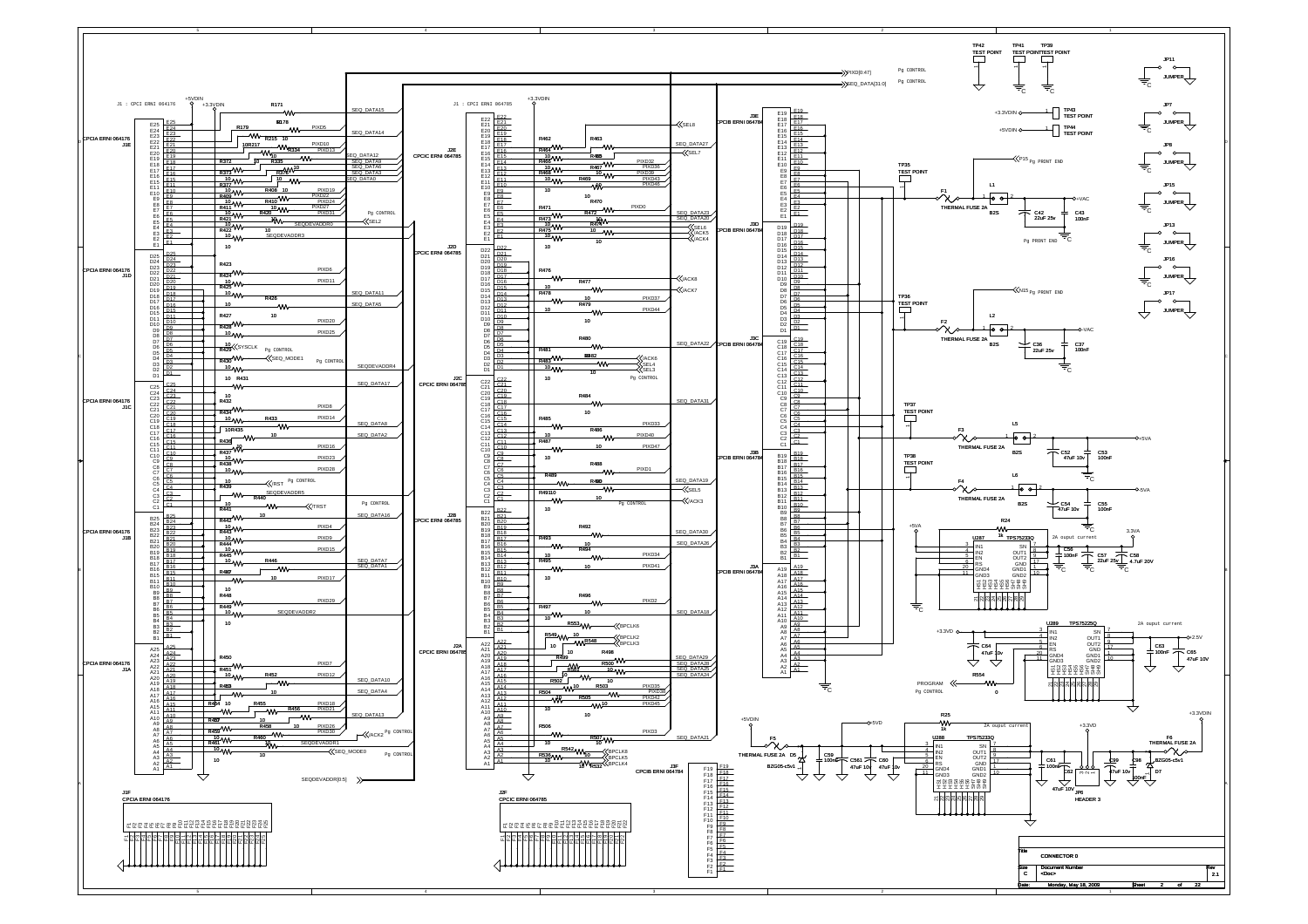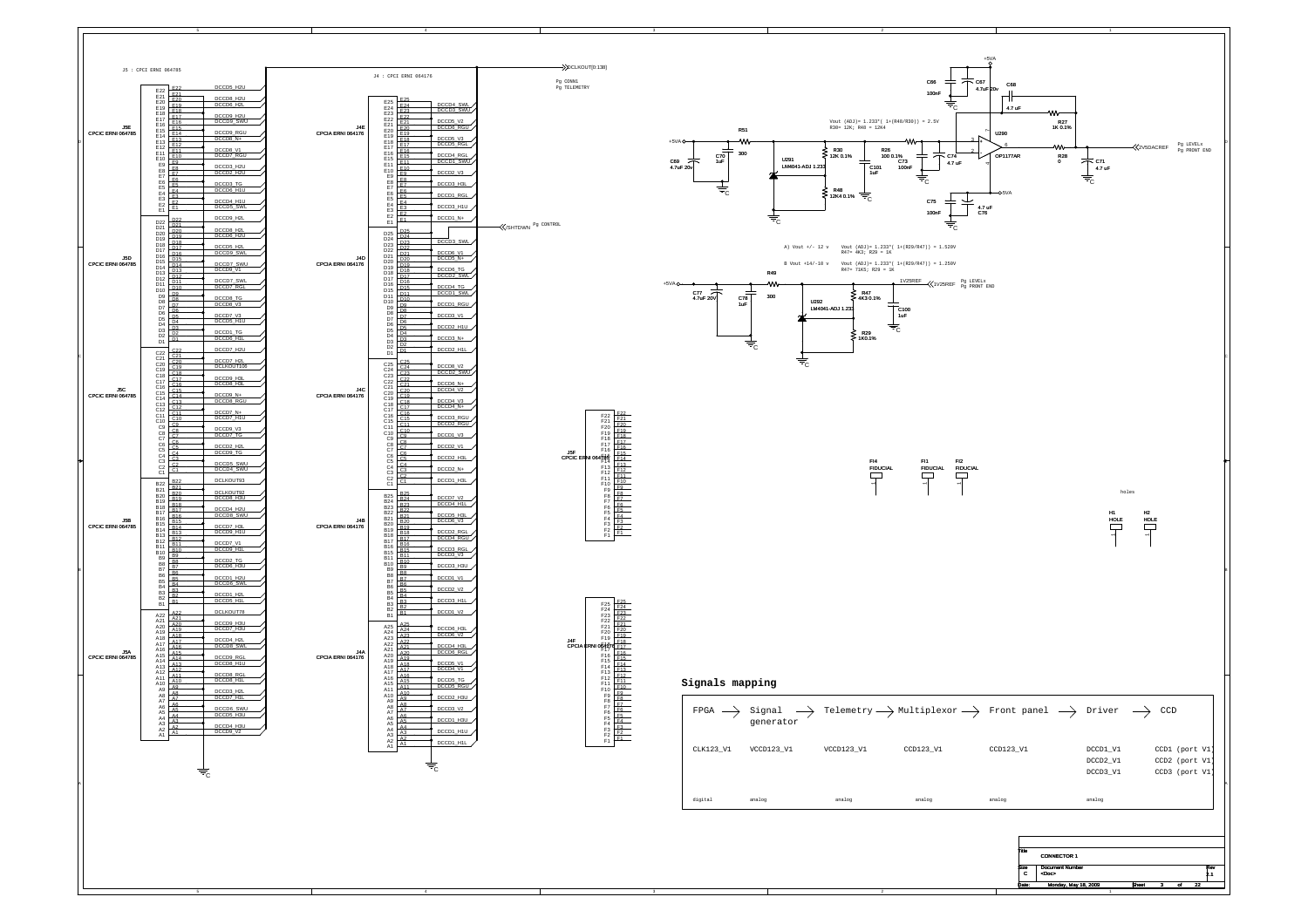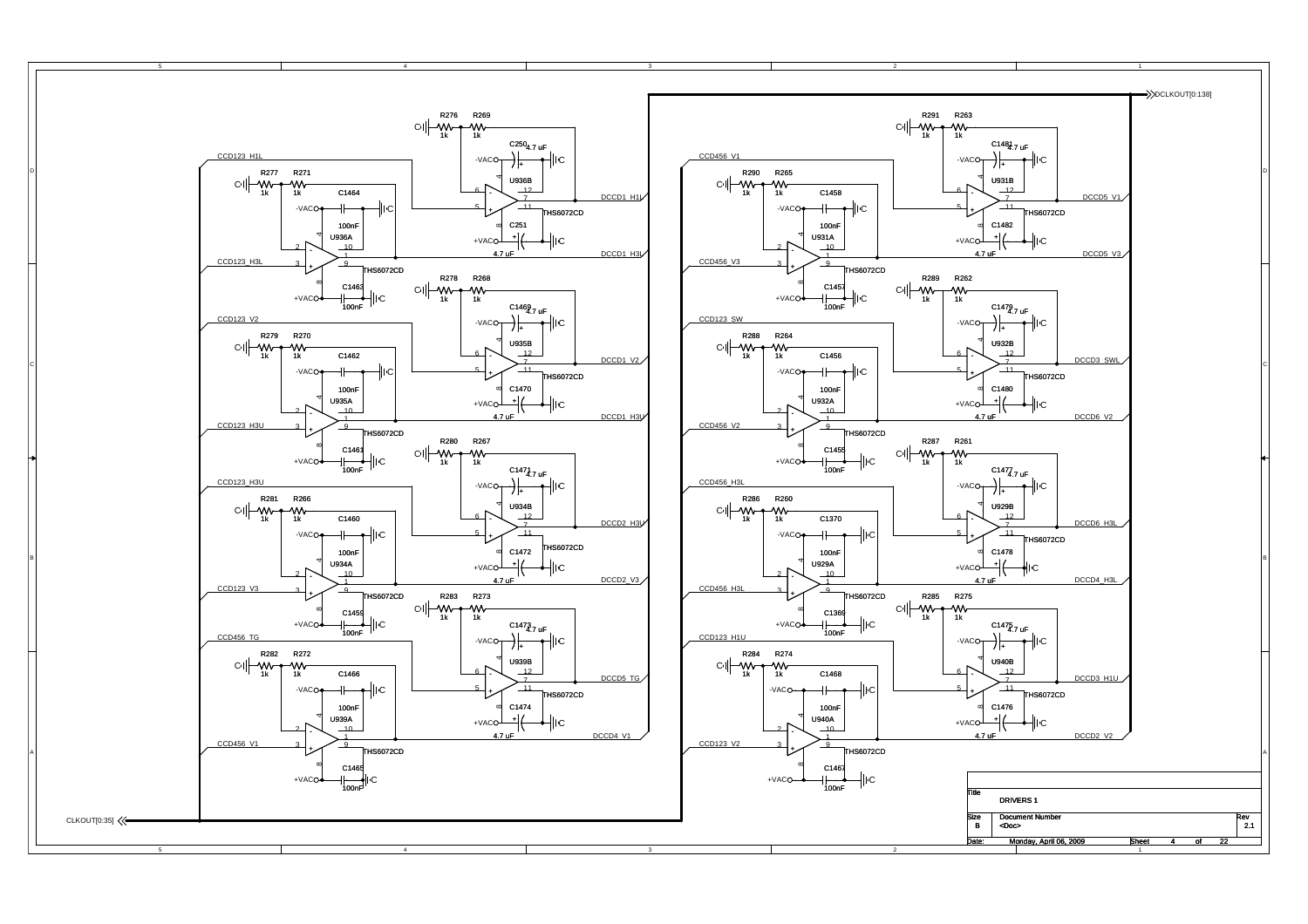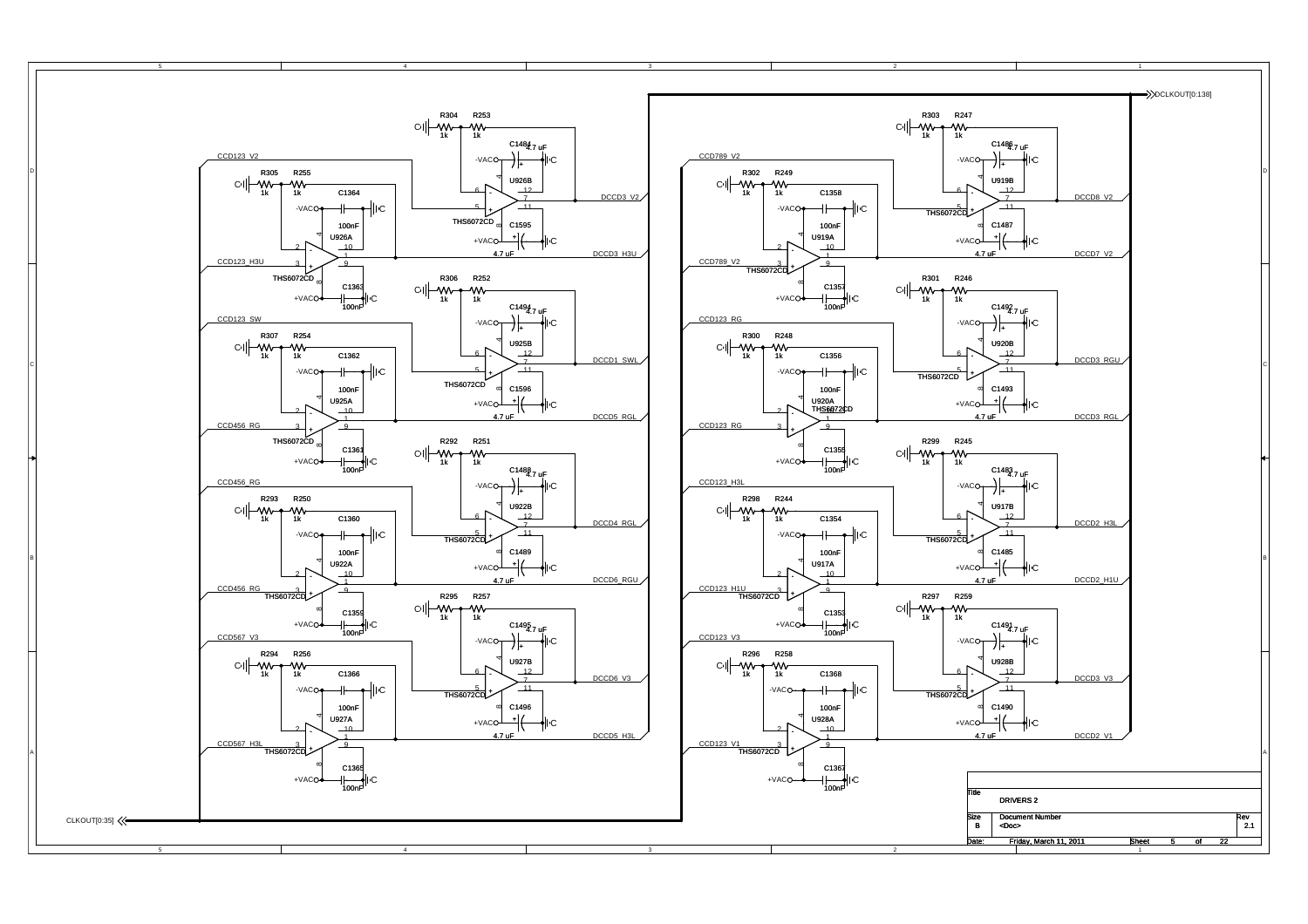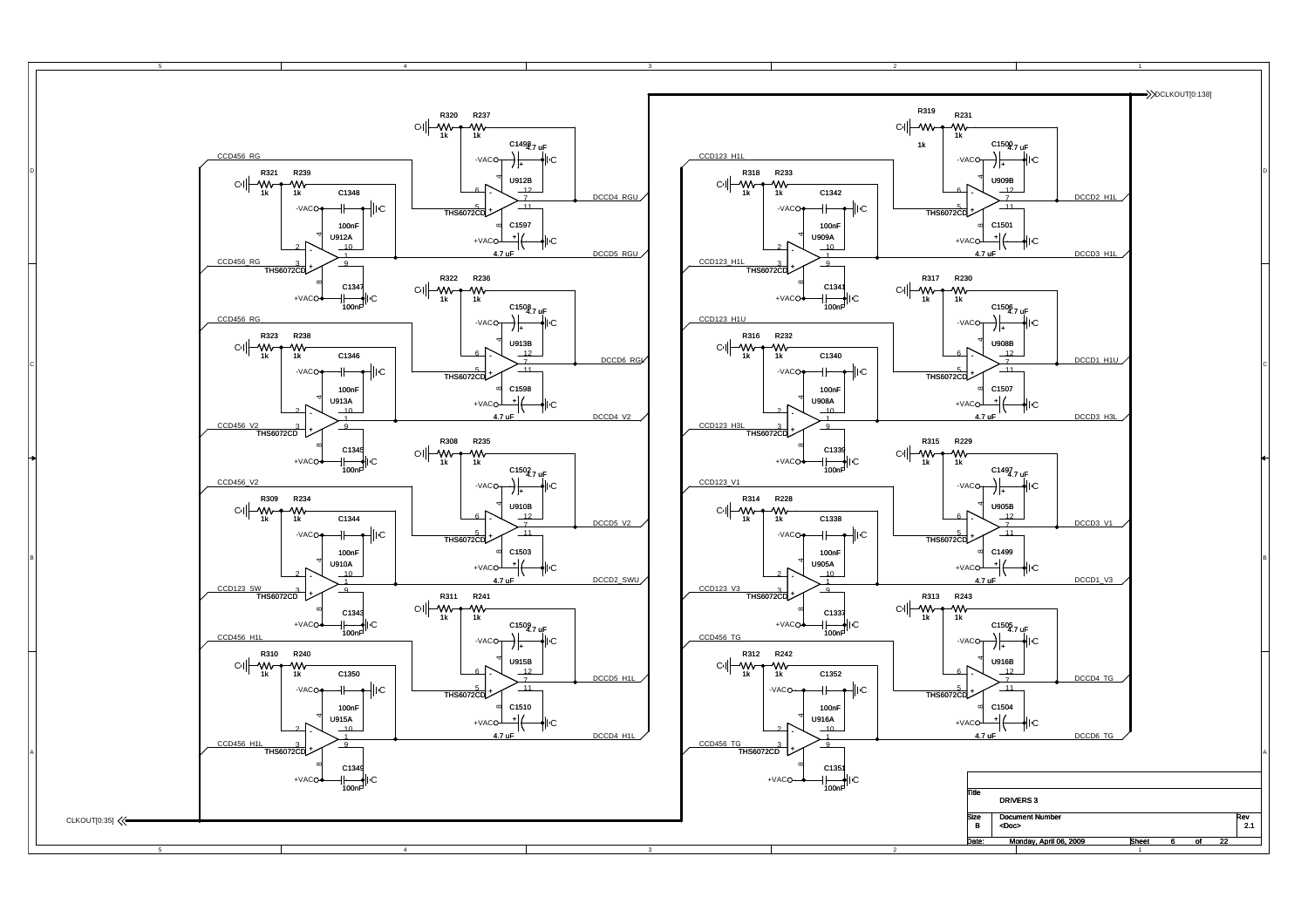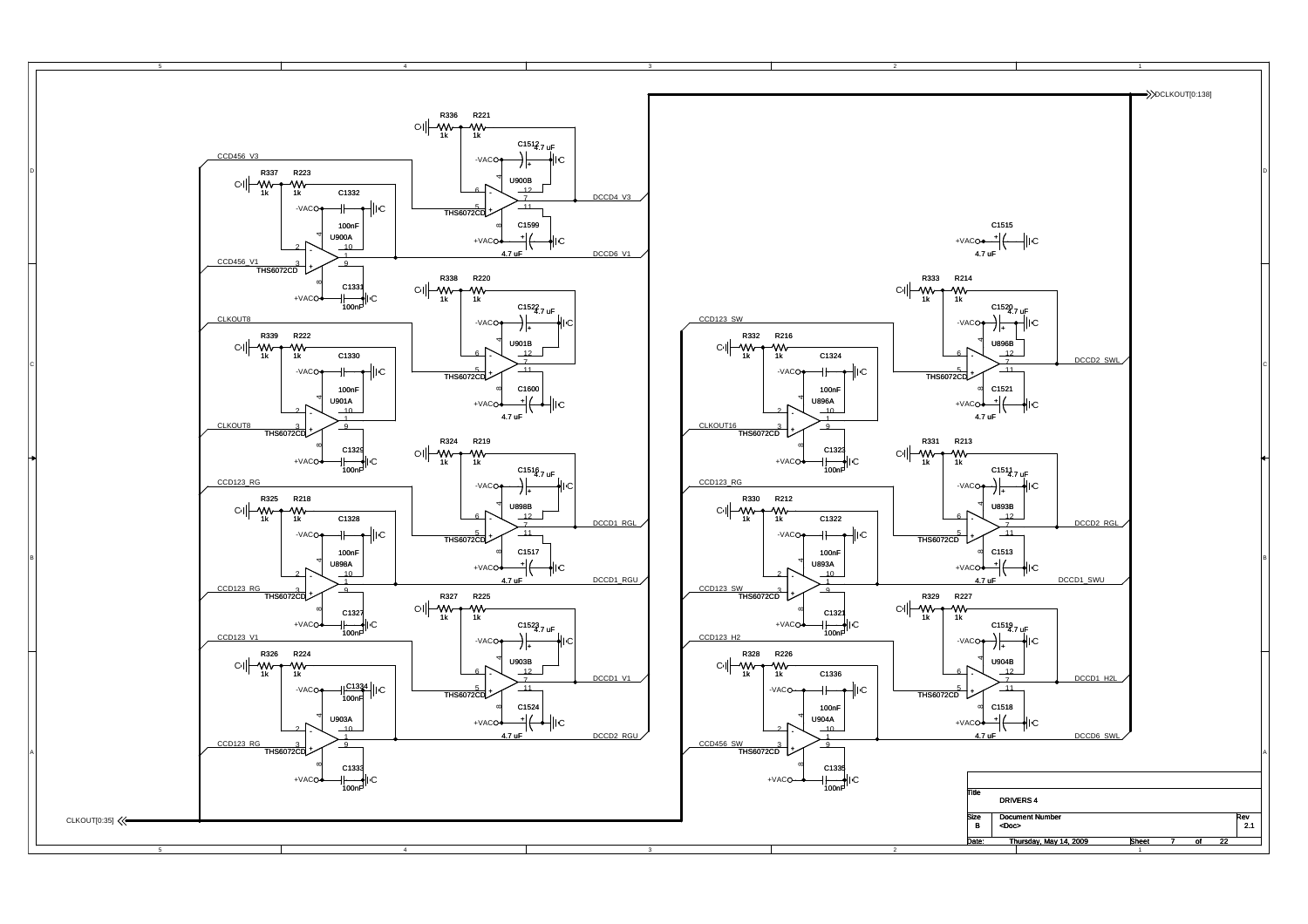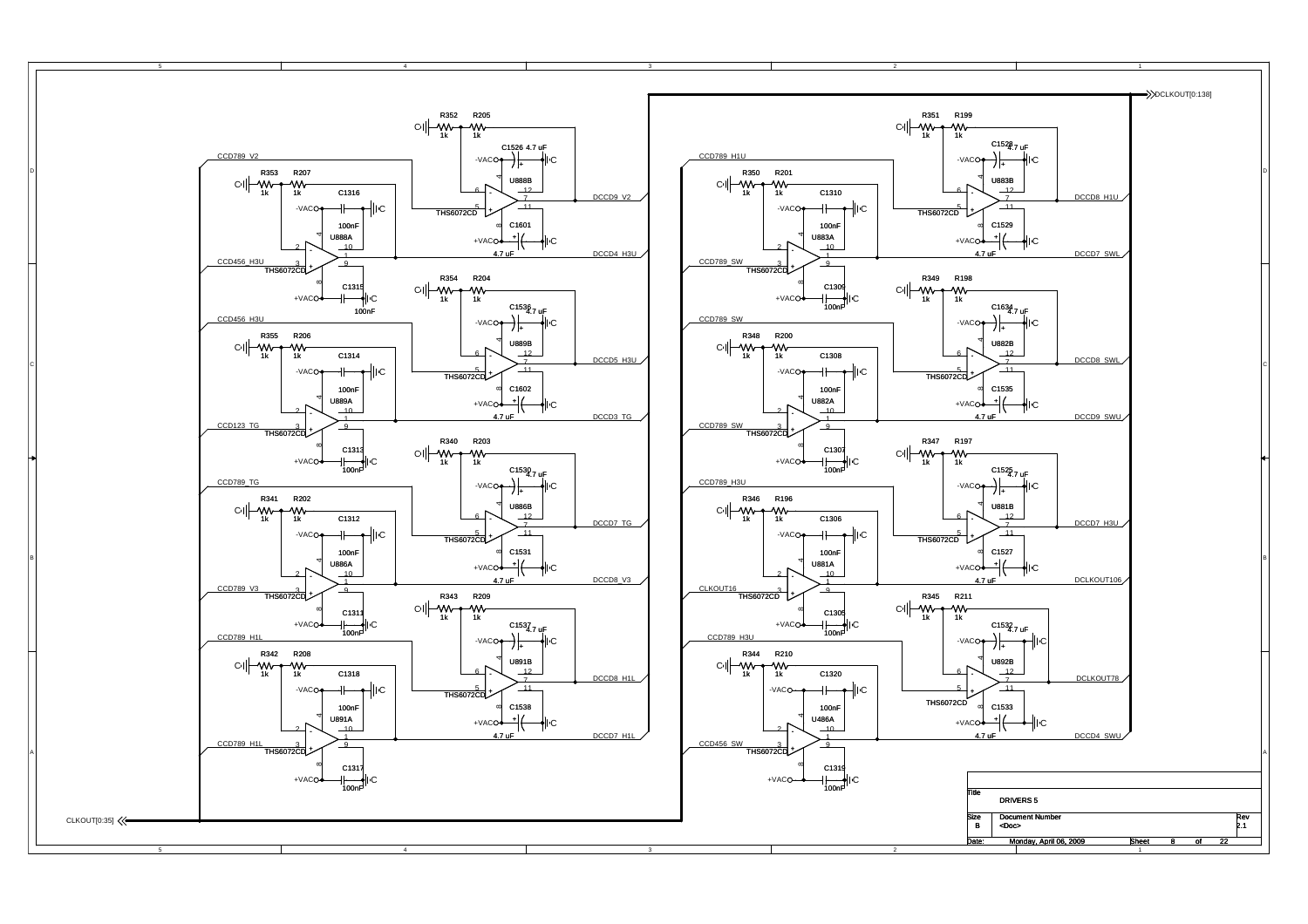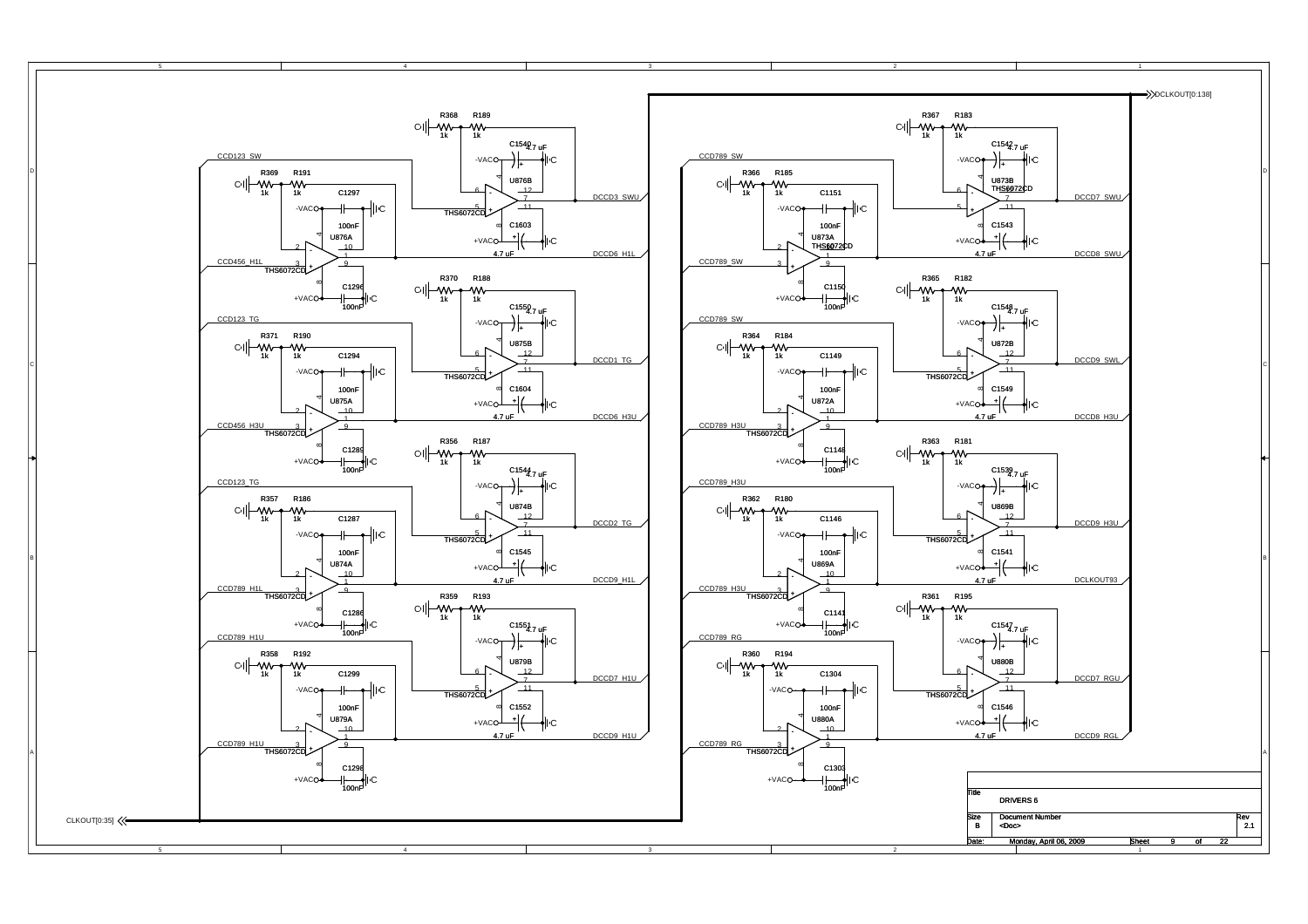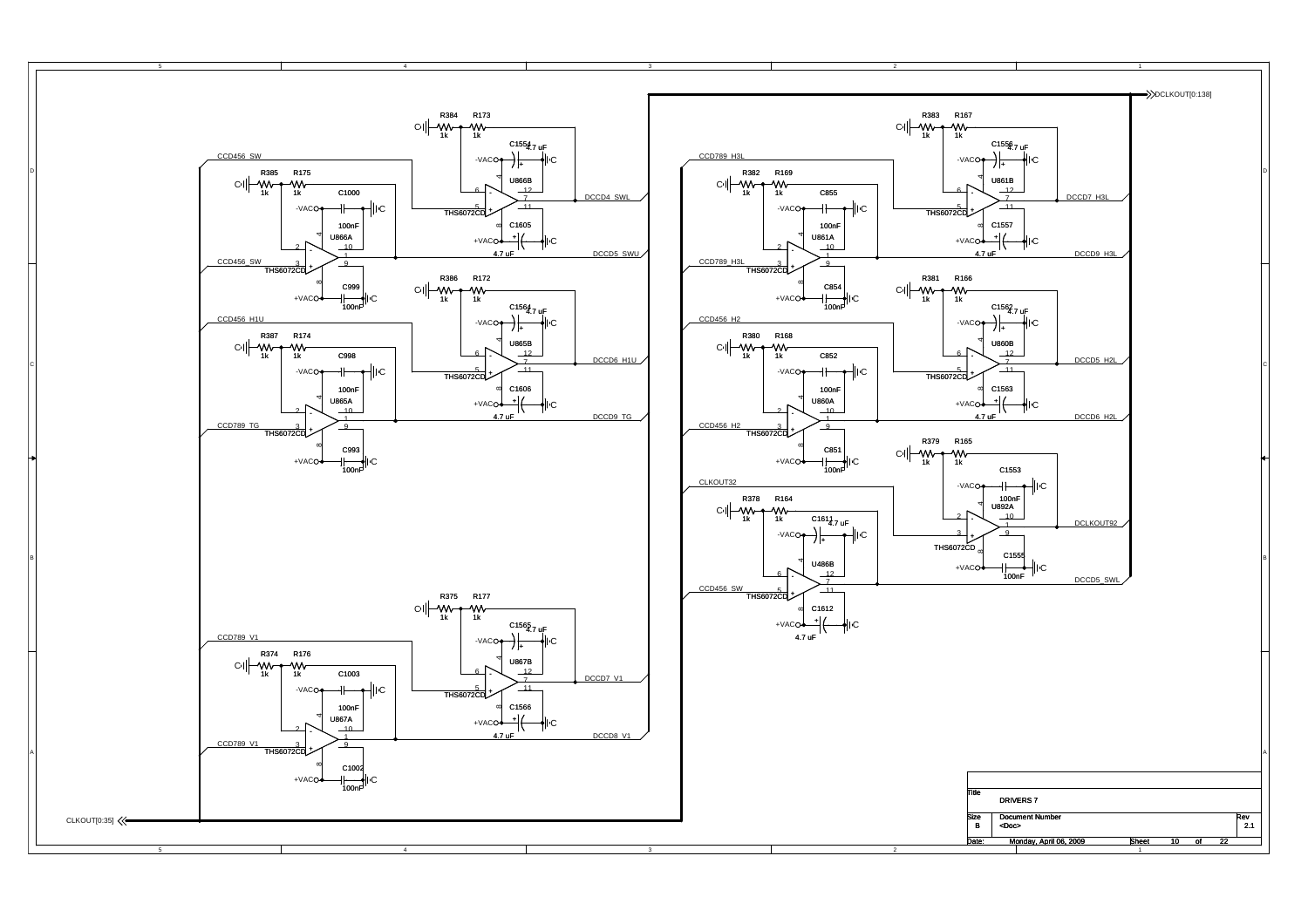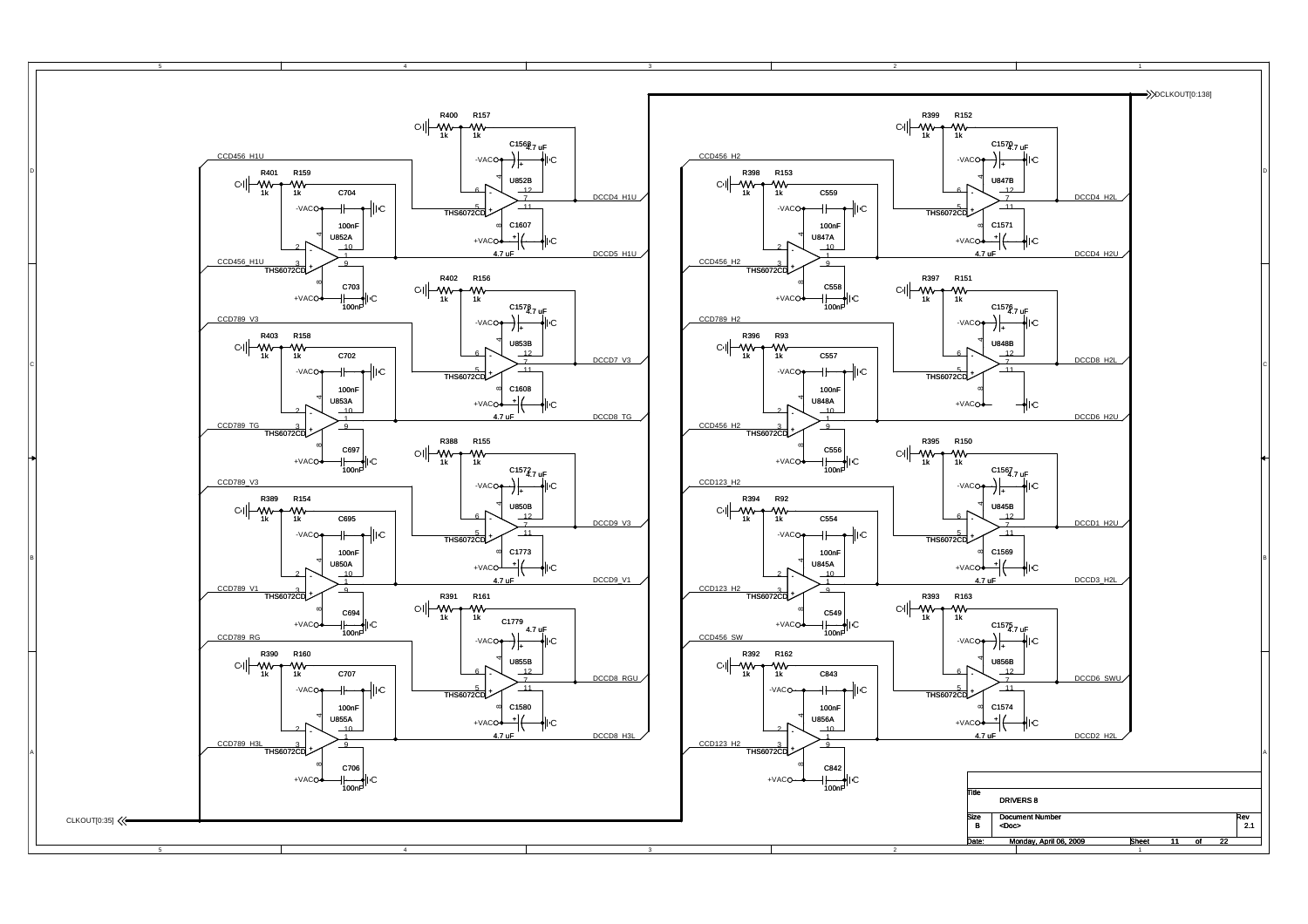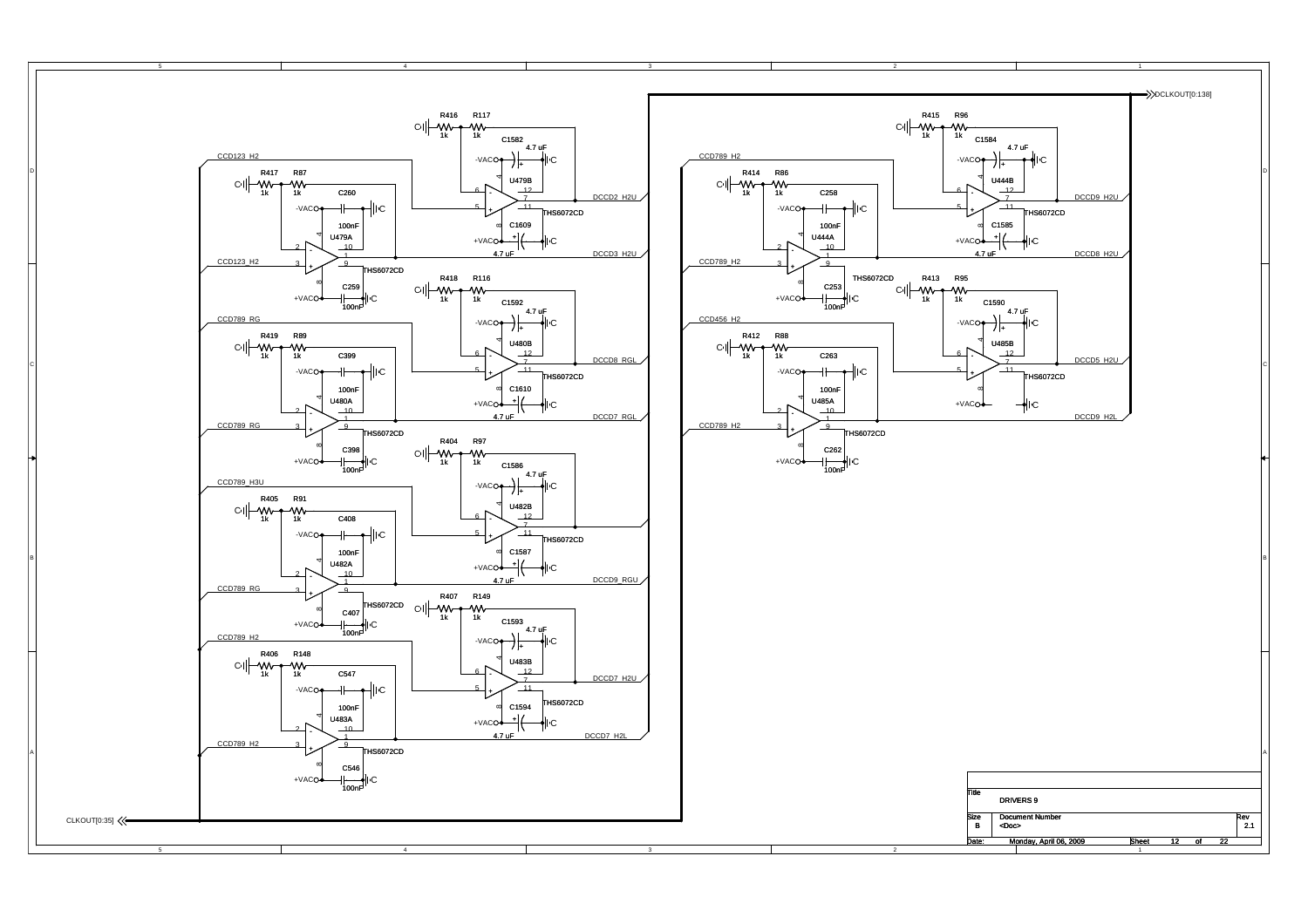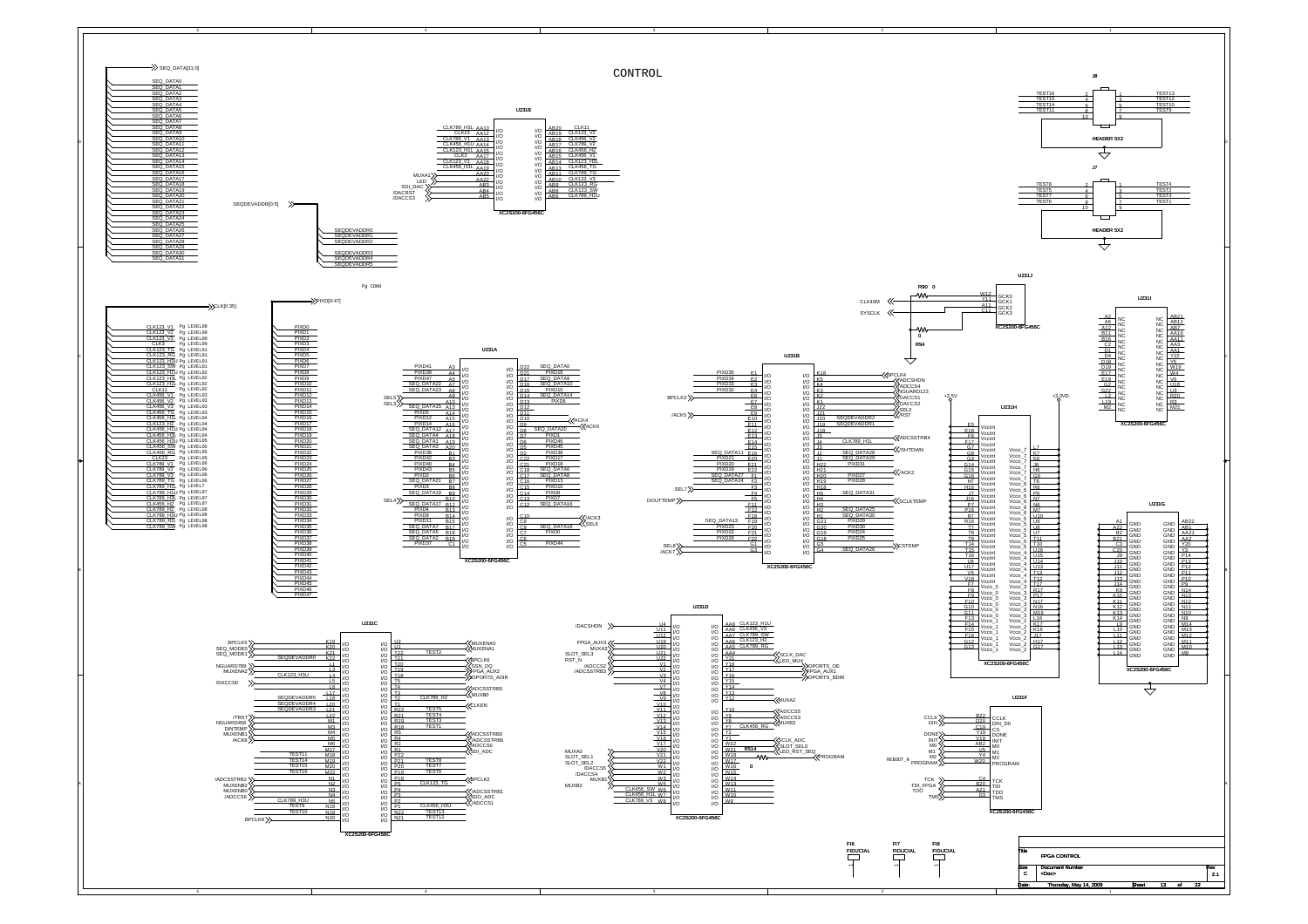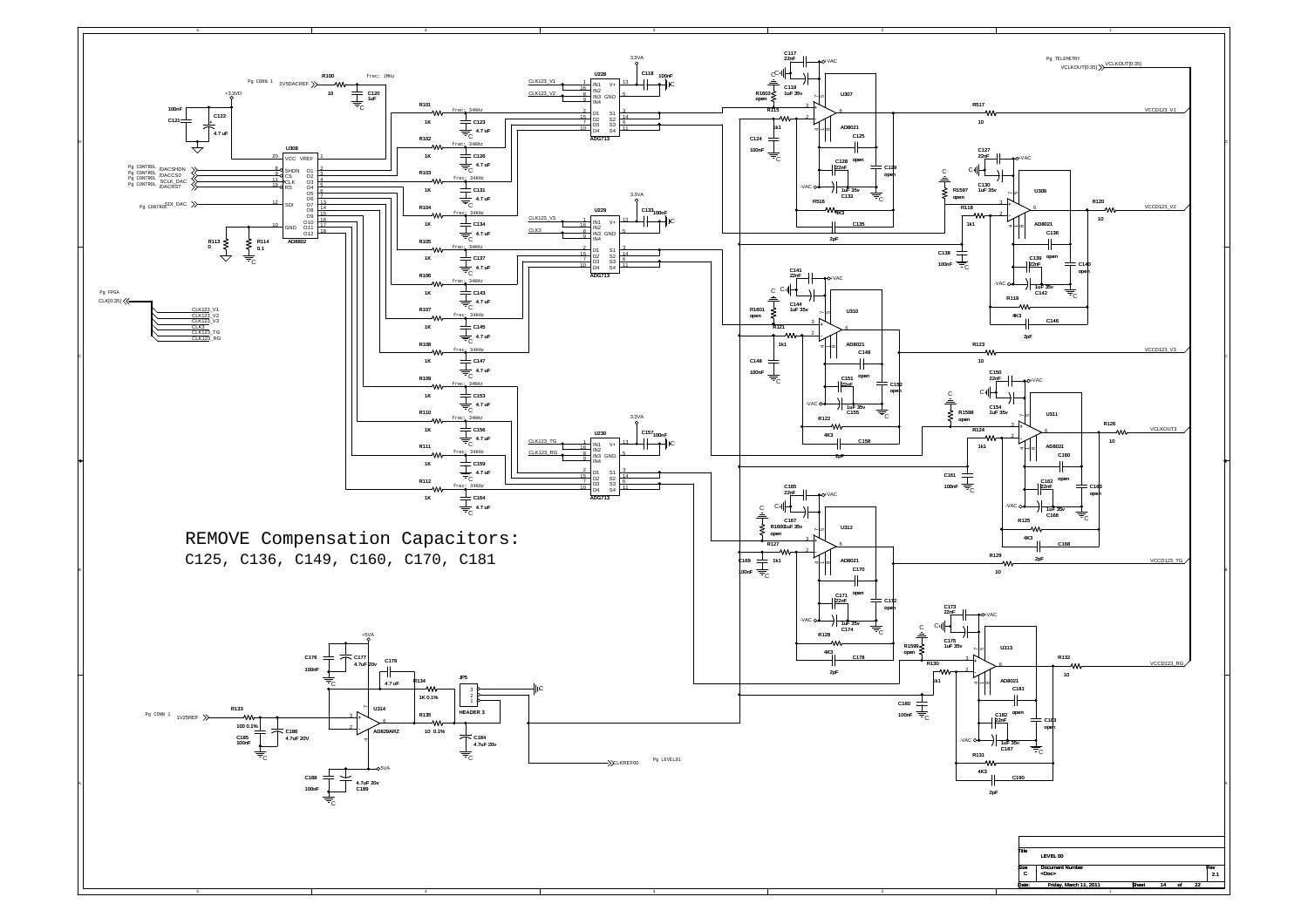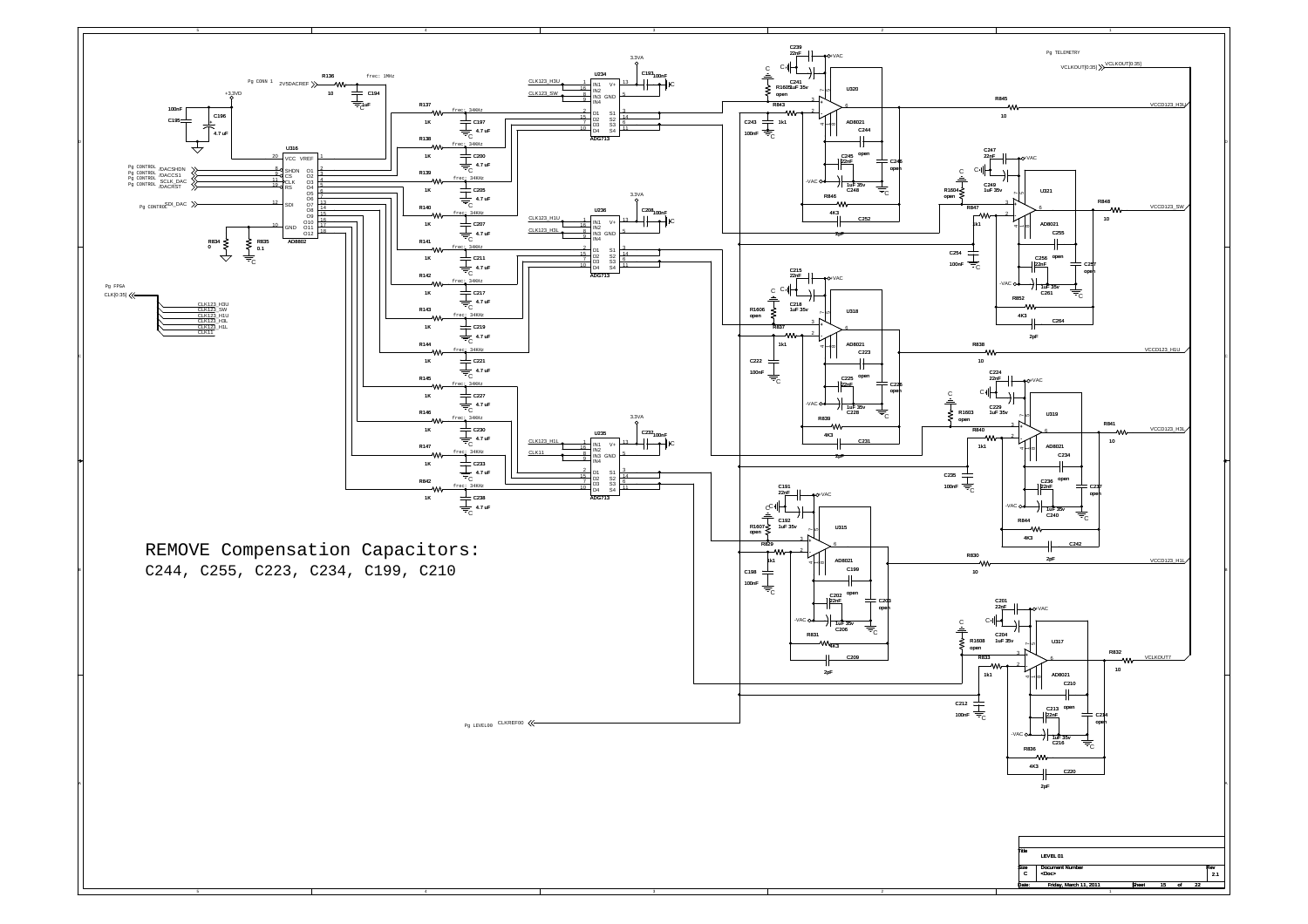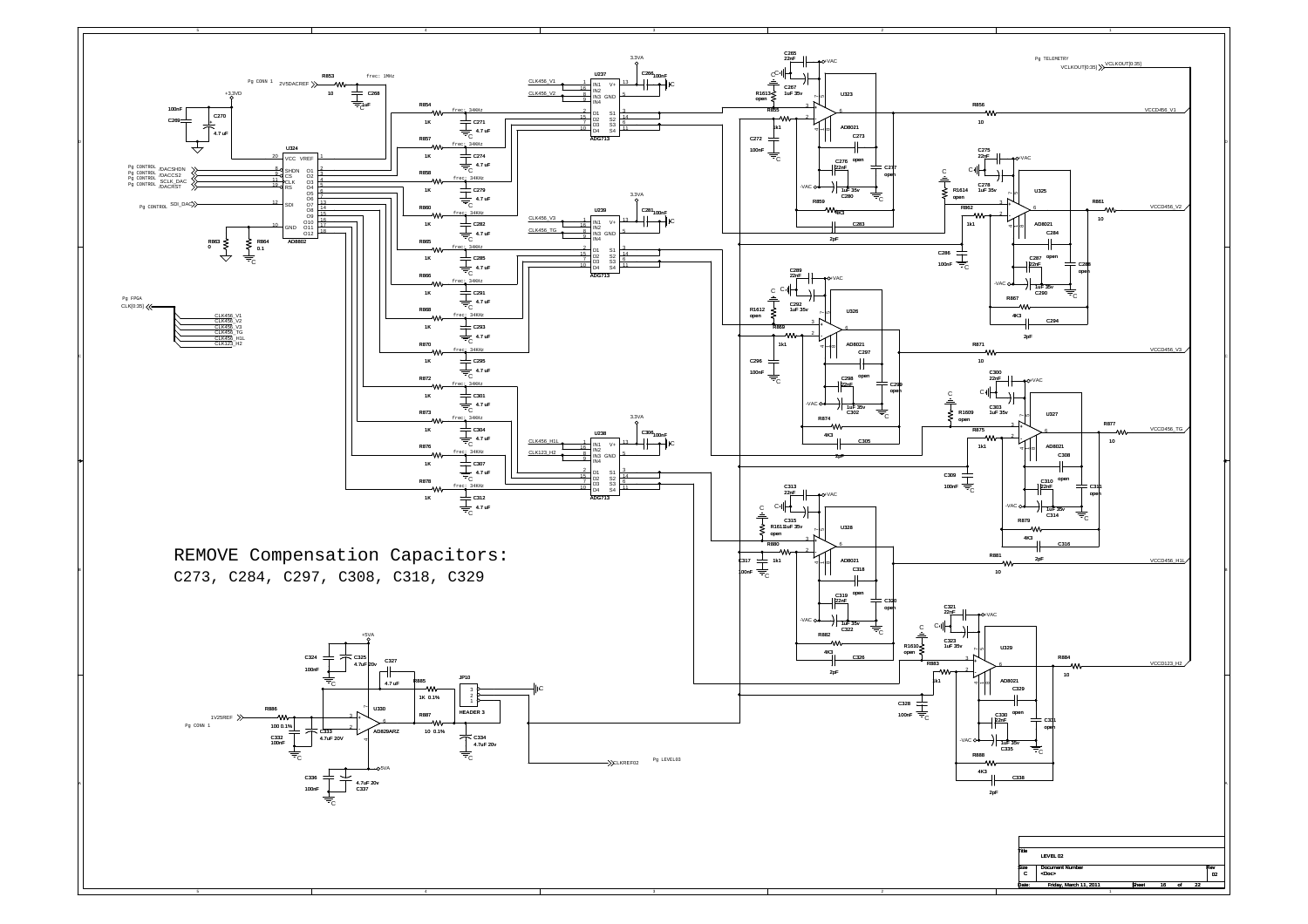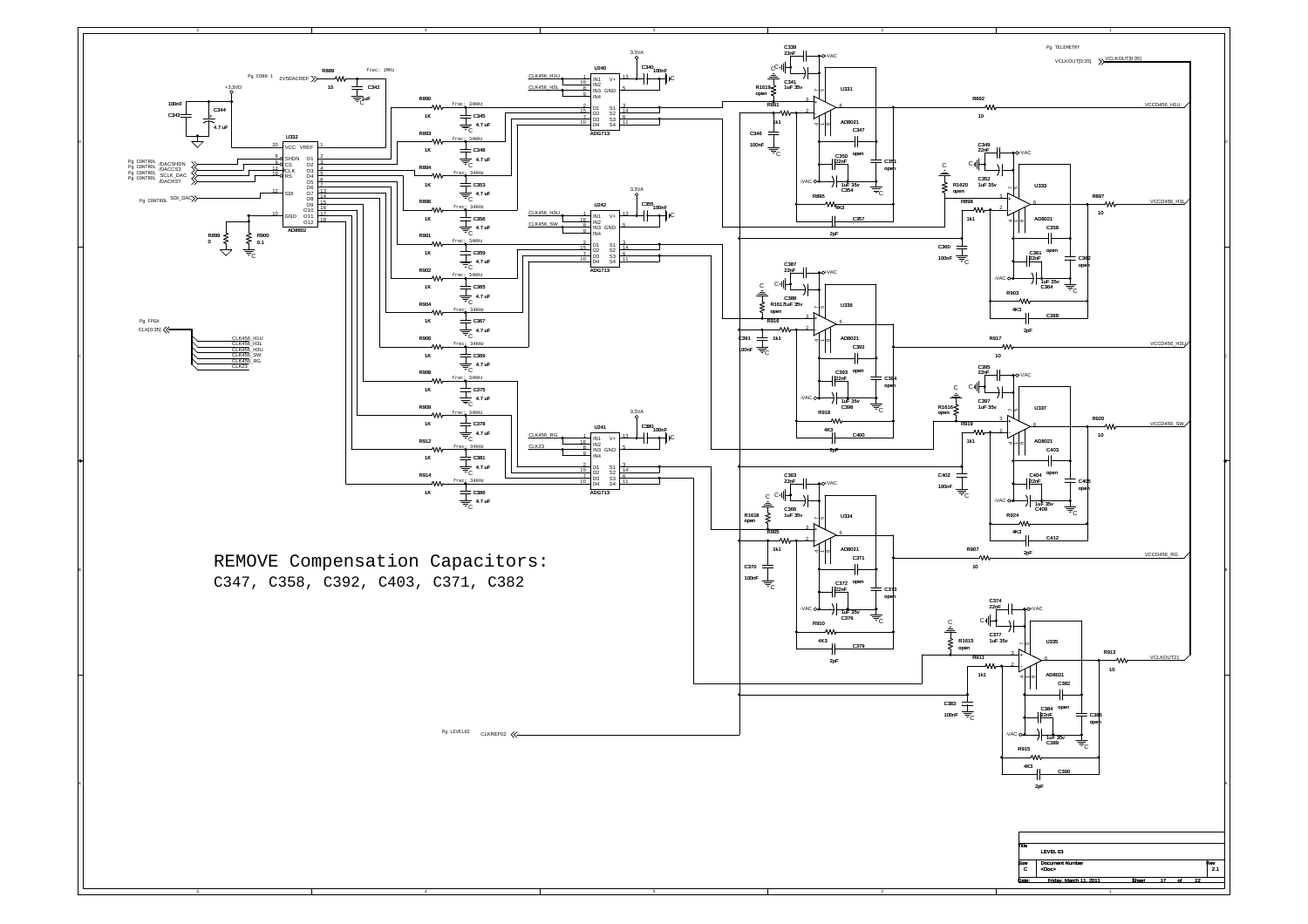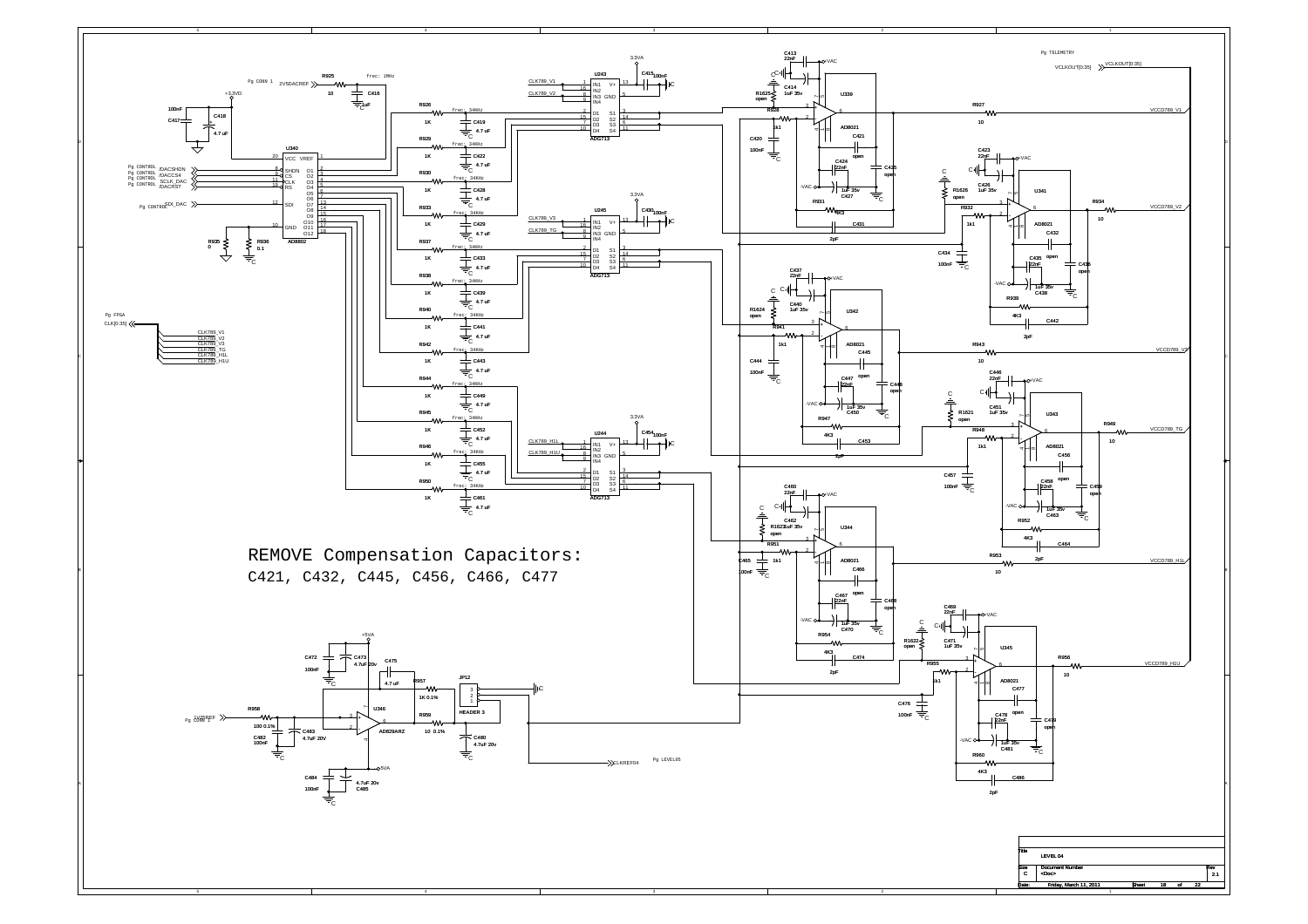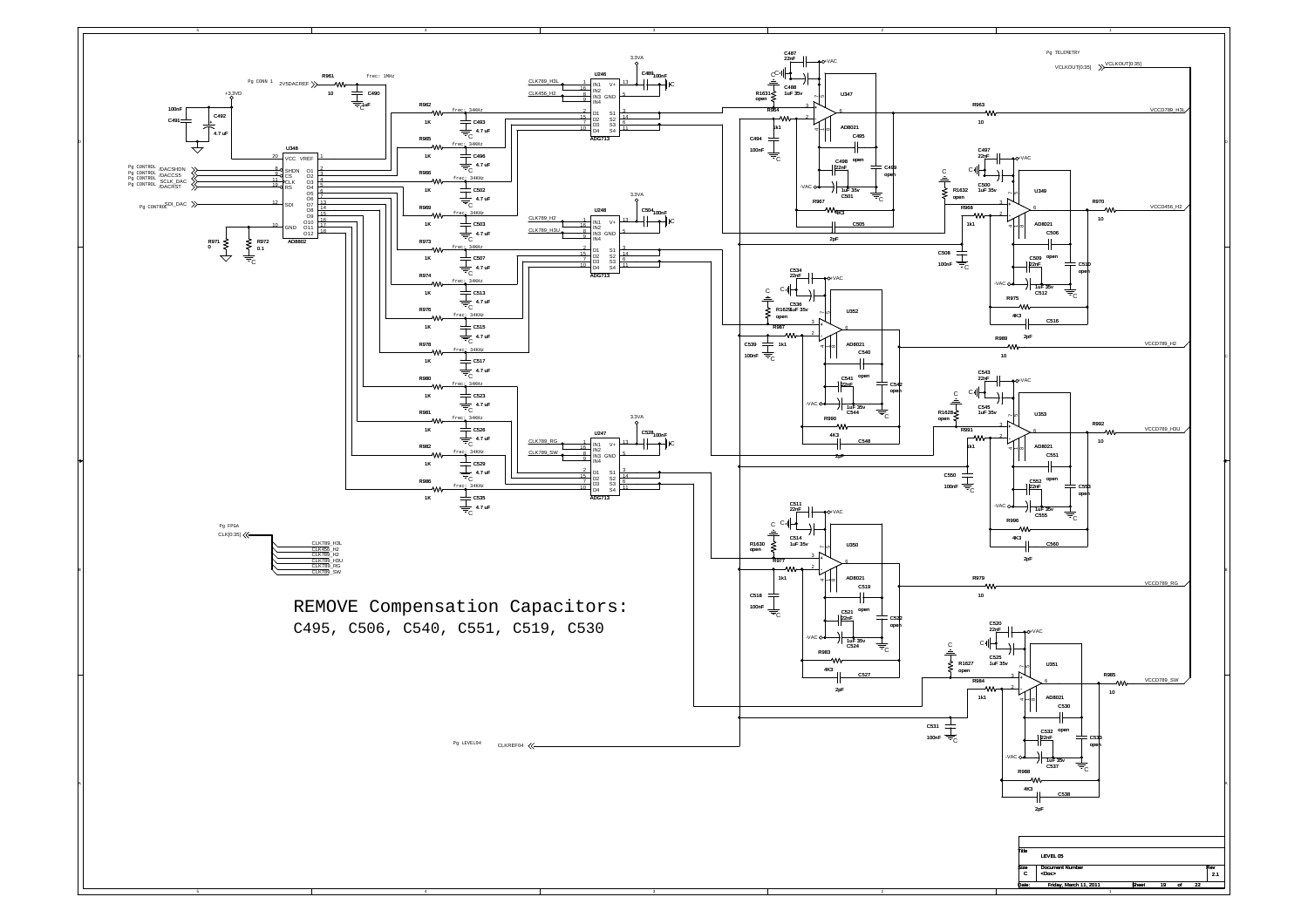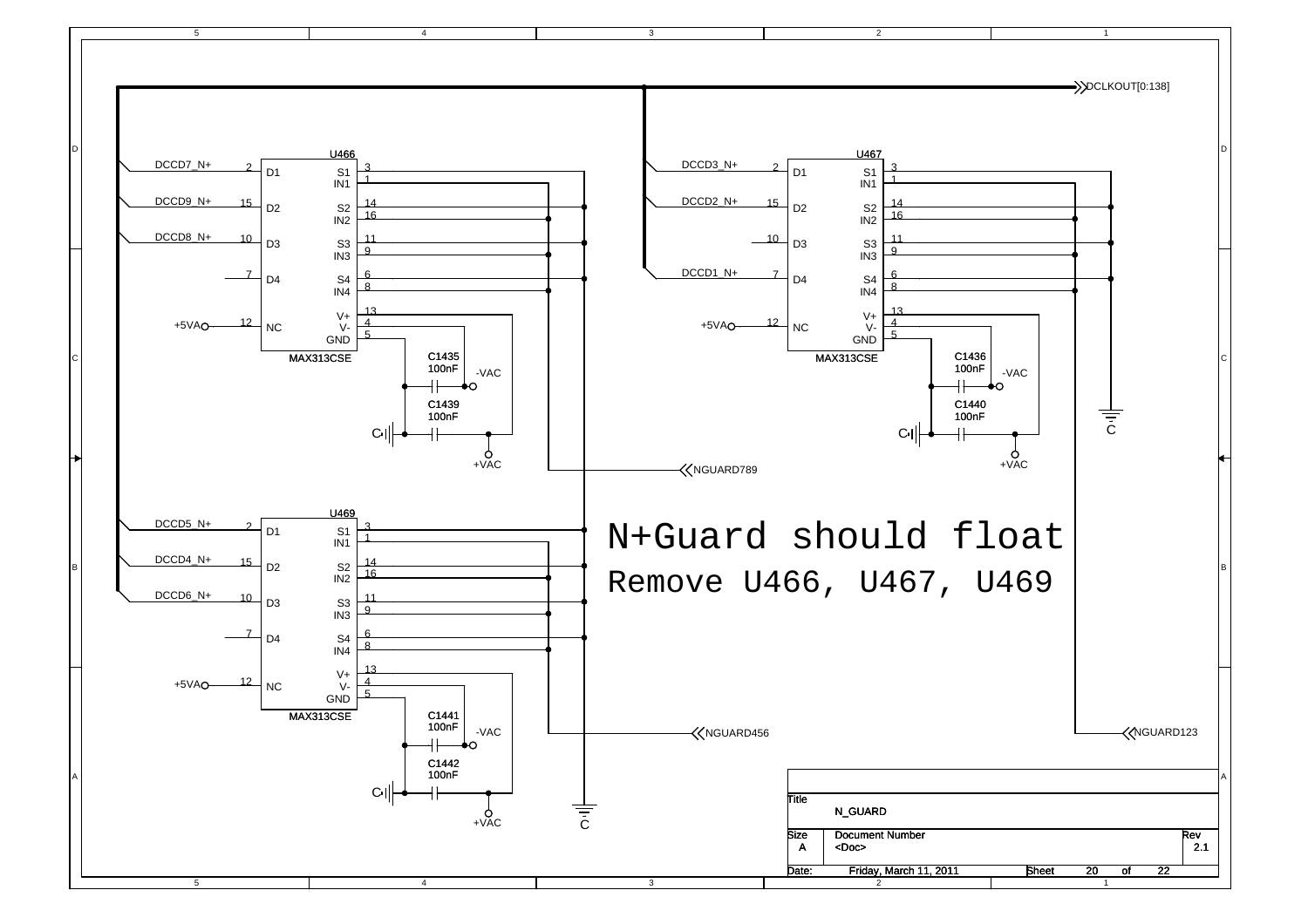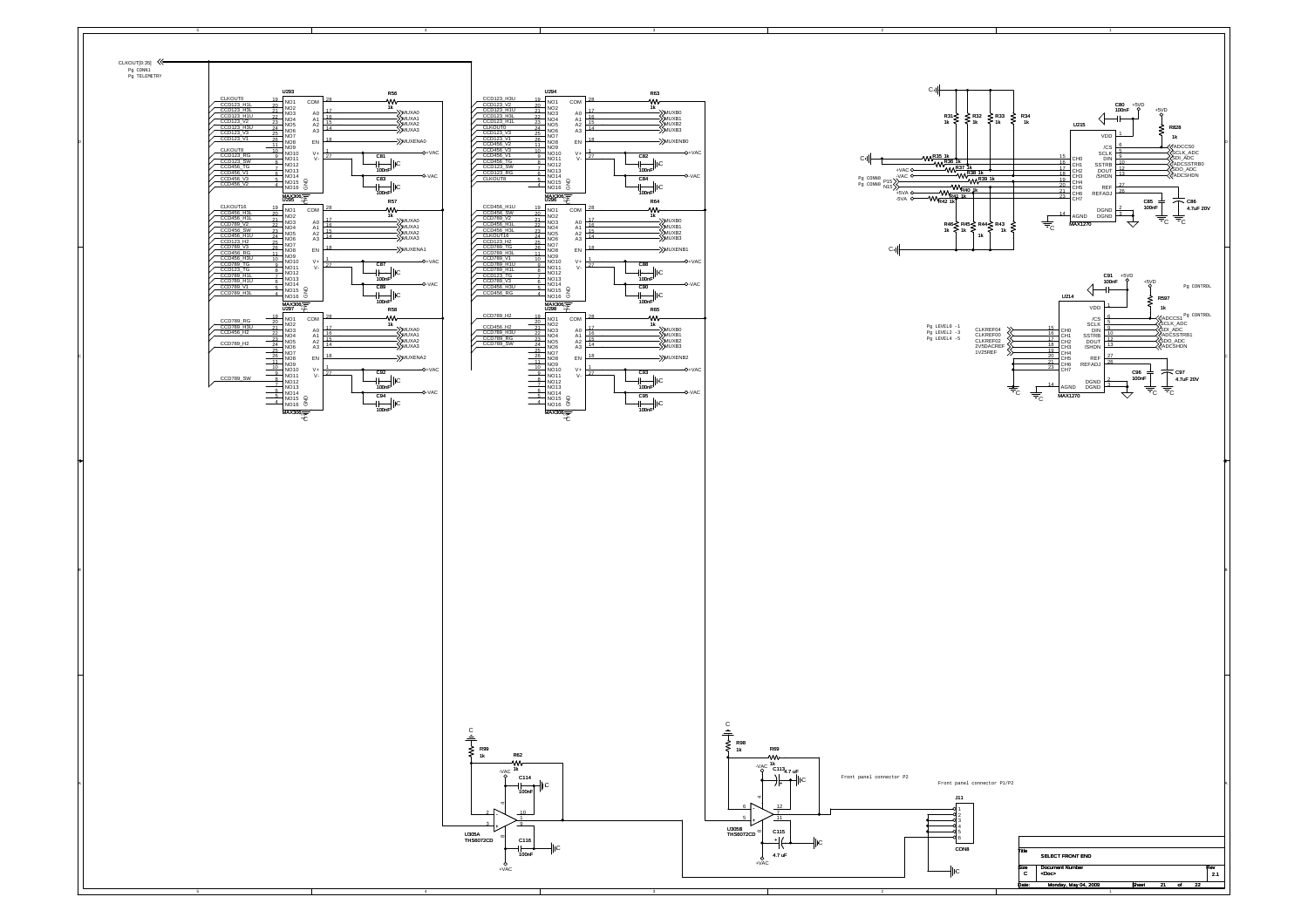